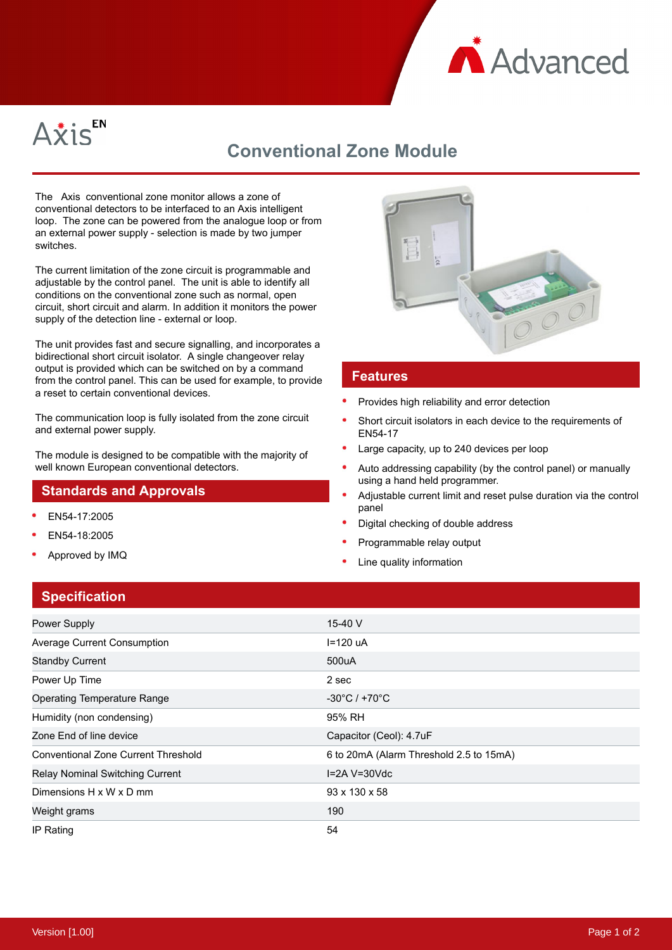



# **Conventional Zone Module**

The Axis conventional zone monitor allows a zone of conventional detectors to be interfaced to an Axis intelligent loop. The zone can be powered from the analogue loop or from an external power supply - selection is made by two jumper switches.

The current limitation of the zone circuit is programmable and adjustable by the control panel. The unit is able to identify all conditions on the conventional zone such as normal, open circuit, short circuit and alarm. In addition it monitors the power supply of the detection line - external or loop.

The unit provides fast and secure signalling, and incorporates a bidirectional short circuit isolator. A single changeover relay output is provided which can be switched on by a command from the control panel. This can be used for example, to provide a reset to certain conventional devices.

The communication loop is fully isolated from the zone circuit and external power supply.

The module is designed to be compatible with the majority of well known European conventional detectors.

### **Standards and Approvals**

- EN54-17:2005
- EN54-18:2005
- Approved by IMQ



#### **Features**

- Provides high reliability and error detection
- Short circuit isolators in each device to the requirements of EN54-17
- Large capacity, up to 240 devices per loop
- Auto addressing capability (by the control panel) or manually using a hand held programmer.
- Adjustable current limit and reset pulse duration via the control panel
- Digital checking of double address
- Programmable relay output
- Line quality information

#### **Specification**

| <b>Power Supply</b>                    | 15-40 V                                 |
|----------------------------------------|-----------------------------------------|
| Average Current Consumption            | $I=120$ uA                              |
| <b>Standby Current</b>                 | 500uA                                   |
| Power Up Time                          | 2 sec                                   |
| <b>Operating Temperature Range</b>     | $-30^{\circ}$ C / +70 $^{\circ}$ C      |
| Humidity (non condensing)              | 95% RH                                  |
| Zone End of line device                | Capacitor (Ceol): 4.7uF                 |
| Conventional Zone Current Threshold    | 6 to 20mA (Alarm Threshold 2.5 to 15mA) |
| <b>Relay Nominal Switching Current</b> | $I=2A V=30Vdc$                          |
| Dimensions H x W x D mm                | 93 x 130 x 58                           |
| Weight grams                           | 190                                     |
| IP Rating                              | 54                                      |